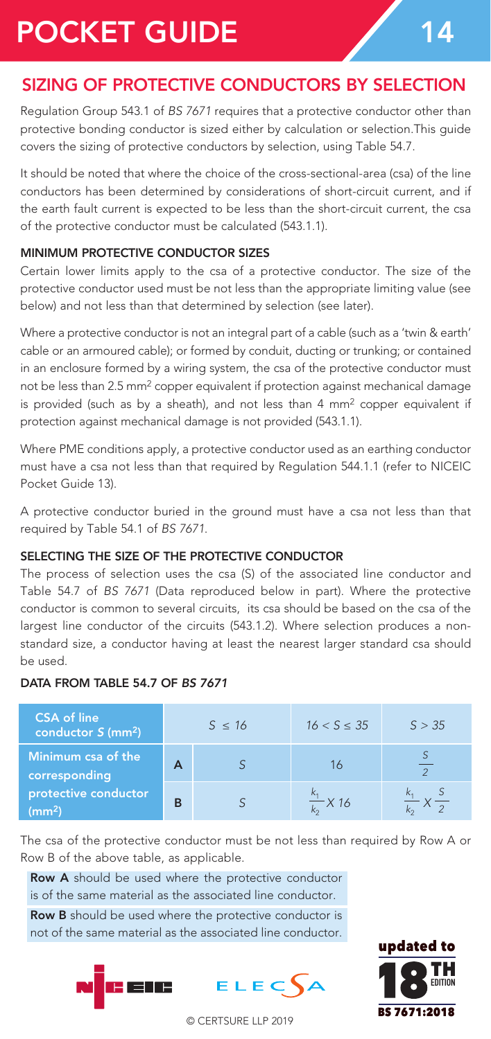# POCKET GUIDE 14

# SIZING OF PROTECTIVE CONDUCTORS BY SELECTION

Regulation Group 543.1 of *BS 7671* requires that a protective conductor other than protective bonding conductor is sized either by calculation or selection.This guide covers the sizing of protective conductors by selection, using Table 54.7.

It should be noted that where the choice of the cross-sectional-area (csa) of the line conductors has been determined by considerations of short-circuit current, and if the earth fault current is expected to be less than the short-circuit current, the csa of the protective conductor must be calculated (543.1.1).

### MINIMUM PROTECTIVE CONDUCTOR SIZES

Certain lower limits apply to the csa of a protective conductor. The size of the protective conductor used must be not less than the appropriate limiting value (see below) and not less than that determined by selection (see later).

Where a protective conductor is not an integral part of a cable (such as a 'twin & earth' cable or an armoured cable); or formed by conduit, ducting or trunking; or contained in an enclosure formed by a wiring system, the csa of the protective conductor must not be less than 2.5 mm<sup>2</sup> copper equivalent if protection against mechanical damage is provided (such as by a sheath), and not less than 4 mm2 copper equivalent if protection against mechanical damage is not provided (543.1.1).

Where PME conditions apply, a protective conductor used as an earthing conductor must have a csa not less than that required by Regulation 544.1.1 (refer to NICEIC Pocket Guide 13).

A protective conductor buried in the ground must have a csa not less than that required by Table 54.1 of *BS 7671*.

### SELECTING THE SIZE OF THE PROTECTIVE CONDUCTOR

The process of selection uses the csa (S) of the associated line conductor and Table 54.7 of *BS 7671* (Data reproduced below in part). Where the protective conductor is common to several circuits, its csa should be based on the csa of the largest line conductor of the circuits (543.1.2). Where selection produces a nonstandard size, a conductor having at least the nearest larger standard csa should be used.

### DATA FROM TABLE 54.7 OF *BS 7671*

| <b>CSA of line</b><br>conductor $S$ (mm <sup>2</sup> ) |   | $S \leq 16$ | $16 < S \leq 35$       | S > 35 |
|--------------------------------------------------------|---|-------------|------------------------|--------|
| Minimum csa of the<br>corresponding                    | А |             | 16                     |        |
| protective conductor<br>(mm <sup>2</sup> )             | в |             | $\frac{k_1}{k_2}$ X 16 |        |

The csa of the protective conductor must be not less than required by Row A or Row B of the above table, as applicable.

Row A should be used where the protective conductor is of the same material as the associated line conductor.

Row B should be used where the protective conductor is not of the same material as the associated line conductor.





© CERTSURE LLP 2019